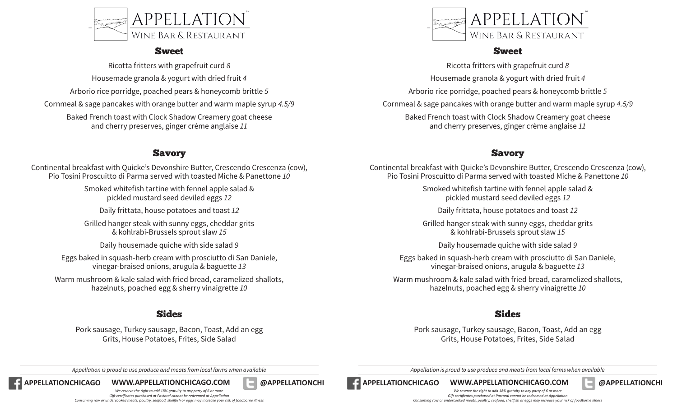

#### Sweet

Ricotta fritters with grapefruit curd *8* Housemade granola & yogurt with dried fruit *4* Arborio rice porridge, poached pears & honeycomb brittle *5* Cornmeal & sage pancakes with orange butter and warm maple syrup *4.5/9*

Baked French toast with Clock Shadow Creamery goat cheese and cherry preserves, ginger crème anglaise *11*

### Savory

Continental breakfast with Quicke's Devonshire Butter, Crescendo Crescenza (cow), Pio Tosini Proscuitto di Parma served with toasted Miche & Panettone *10*

> Smoked whitefish tartine with fennel apple salad & pickled mustard seed deviled eggs *12*

Daily frittata, house potatoes and toast *12*

Grilled hanger steak with sunny eggs, cheddar grits & kohlrabi-Brussels sprout slaw *15*

Daily housemade quiche with side salad *9*

Eggs baked in squash-herb cream with prosciutto di San Daniele, vinegar-braised onions, arugula & baguette *13*

Warm mushroom & kale salad with fried bread, caramelized shallots, hazelnuts, poached egg & sherry vinaigrette *10*

### Sides

Pork sausage, Turkey sausage, Bacon, Toast, Add an egg Grits, House Potatoes, Frites, Side Salad



#### Sweet

Ricotta fritters with grapefruit curd *8* Housemade granola & yogurt with dried fruit *4* Arborio rice porridge, poached pears & honeycomb brittle *5* Cornmeal & sage pancakes with orange butter and warm maple syrup *4.5/9* Baked French toast with Clock Shadow Creamery goat cheese and cherry preserves, ginger crème anglaise *11*

## Savory

Continental breakfast with Quicke's Devonshire Butter, Crescendo Crescenza (cow), Pio Tosini Proscuitto di Parma served with toasted Miche & Panettone *10*

> Smoked whitefish tartine with fennel apple salad & pickled mustard seed deviled eggs *12*

Daily frittata, house potatoes and toast *12*

Grilled hanger steak with sunny eggs, cheddar grits & kohlrabi-Brussels sprout slaw *15*

Daily housemade quiche with side salad *9*

Eggs baked in squash-herb cream with prosciutto di San Daniele, vinegar-braised onions, arugula & baguette *13*

Warm mushroom & kale salad with fried bread, caramelized shallots, hazelnuts, poached egg & sherry vinaigrette *10*

## Sides

Pork sausage, Turkey sausage, Bacon, Toast, Add an egg Grits, House Potatoes, Frites, Side Salad

**APPELLATIONCHICAGO WWW.APPELLATIONCHICAGO.COM @APPELLATIONCHI APPELLATIONCHICAGO WWW.APPELLATIONCHICAGO.COM @APPELLATIONCHI**

*Appellation is proud to use produce and meats from local farms when available Appellation is proud to use produce and meats from local farms when available**Appellation is proud to use produce and meats from local far* 



*We reserve the right to add 18% gratuity to any party of 6 or more Gift certificates purchased at Pastoral cannot be redeemed at Appellation Consuming raw or undercooked meats, poultry, seafood, shellfish or eggs may increase your risk of foodborne illness*

*We reserve the right to add 18% gratuity to any party of 6 or more Gift certificates purchased at Pastoral cannot be redeemed at Appellation Consuming raw or undercooked meats, poultry, seafood, shellfish or eggs may increase your risk of foodborne illness*